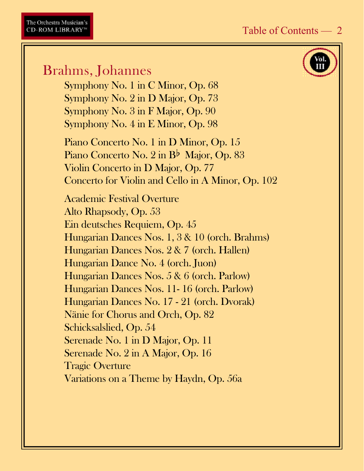# Brahms, Johannes

Symphony No. 1 in C Minor, Op. 68 Symphony No. 2 in D Major, Op. 73 Symphony No. 3 in F Major, Op. 90 Symphony No. 4 in E Minor, Op. 98

Piano Concerto No. 1 in D Minor, Op. 15 Piano Concerto No. 2 in B<sup>b</sup> Major, Op. 83 Violin Concerto in D Major, Op. 77 Concerto for Violin and Cello in A Minor, Op. 102

Academic Festival Overture Alto Rhapsody, Op. 53 Ein deutsches Requiem, Op. 45 Hungarian Dances Nos. 1, 3 & 10 (orch. Brahms) Hungarian Dances Nos. 2 & 7 (orch. Hallen) Hungarian Dance No. 4 (orch. Juon) Hungarian Dances Nos. 5 & 6 (orch. Parlow) Hungarian Dances Nos. 11- 16 (orch. Parlow) Hungarian Dances No. 17 - 21 (orch. Dvorak) Nänie for Chorus and Orch, Op. 82 Schicksalslied, Op. 54 Serenade No. 1 in D Major, Op. 11 Serenade No. 2 in A Major, Op. 16 Tragic Overture Variations on a Theme by Haydn, Op. 56a

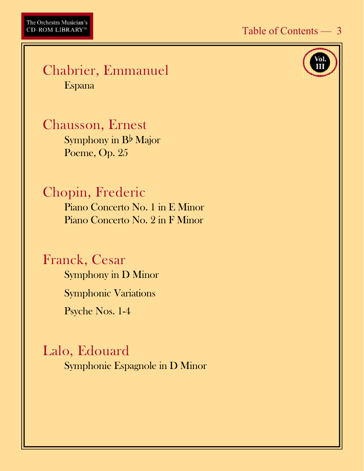

#### Chabrier, Emmanuel Espana

Chausson, Ernest Symphony in  $B^{\flat}$  Major Poeme, Op. 25

## Chopin, Frederic

Piano Concerto No. 1 in E Minor Piano Concerto No. 2 in F Minor

#### Franck, Cesar

Symphony in D Minor Symphonic Variations Psyche Nos. 1-4

## Lalo, Edouard

Symphonie Espagnole in D Minor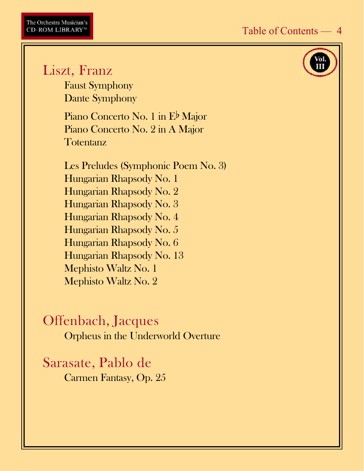# Liszt, Franz

Faust Symphony Dante Symphony

Piano Concerto No. 1 in E<sup>b</sup> Major Piano Concerto No. 2 in A Major **Totentanz** 

Les Preludes (Symphonic Poem No. 3) Hungarian Rhapsody No. 1 Hungarian Rhapsody No. 2 Hungarian Rhapsody No. 3 Hungarian Rhapsody No. 4 Hungarian Rhapsody No. 5 Hungarian Rhapsody No. 6 Hungarian Rhapsody No. 13 Mephisto Waltz No. 1 Mephisto Waltz No. 2

Offenbach, Jacques Orpheus in the Underworld Overture

Sarasate, Pablo de Carmen Fantasy, Op. 25